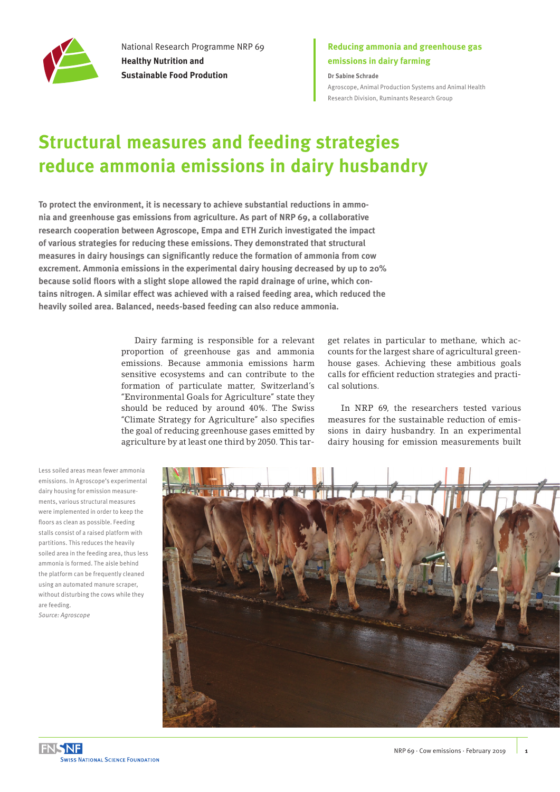

National Research Programme NRP 69 **Healthy Nutrition and Sustainable Food Prodution**

### **Reducing ammonia and greenhouse gas emissions in dairy farming**

**Dr Sabine Schrade** [Agroscope, Animal Production Systems and Animal Health](https://www.agroscope.admin.ch/agroscope/en/home/about-us/organization/competence-divisions-strategic-research-divisions/animal-production-health/Ruminants.html)  [Research Division, Ruminants Research Group](https://www.agroscope.admin.ch/agroscope/en/home/about-us/organization/competence-divisions-strategic-research-divisions/animal-production-health/Ruminants.html)

# **Structural measures and feeding strategies reduce ammonia emissions in dairy husbandry**

**To protect the environment, it is necessary to achieve substantial reductions in ammonia and greenhouse gas emissions from agriculture. As part of NRP 69, a collaborative research cooperation between Agroscope, Empa and ETH Zurich investigated the impact of various strategies for reducing these emissions. They demonstrated that structural measures in dairy housings can significantly reduce the formation of ammonia from cow excrement. Ammonia emissions in the experimental dairy housing decreased by up to 20% because solid floors with a slight slope allowed the rapid drainage of urine, which contains nitrogen. A similar effect was achieved with a raised feeding area, which reduced the heavily soiled area. Balanced, needs-based feeding can also reduce ammonia.** 

> Dairy farming is responsible for a relevant proportion of greenhouse gas and ammonia emissions. Because ammonia emissions harm sensitive ecosystems and can contribute to the formation of particulate matter, Switzerland's "Environmental Goals for Agriculture" state they should be reduced by around 40%. The Swiss "Climate Strategy for Agriculture" also specifies the goal of reducing greenhouse gases emitted by agriculture by at least one third by 2050. This tar

get relates in particular to methane, which accounts for the largest share of agricultural greenhouse gases. Achieving these ambitious goals calls for efficient reduction strategies and practical solutions.

In NRP 69, the researchers tested various measures for the sustainable reduction of emissions in dairy husbandry. In an experimental dairy housing for emission measurements built

Less soiled areas mean fewer ammonia emissions. In Agroscope's experimental dairy housing for emission measurements, various structural measures were implemented in order to keep the floors as clean as possible. Feeding stalls consist of a raised platform with partitions. This reduces the heavily soiled area in the feeding area, thus less ammonia is formed. The aisle behind the platform can be frequently cleaned using an automated manure scraper, without disturbing the cows while they are feeding. *Source: Agroscope*